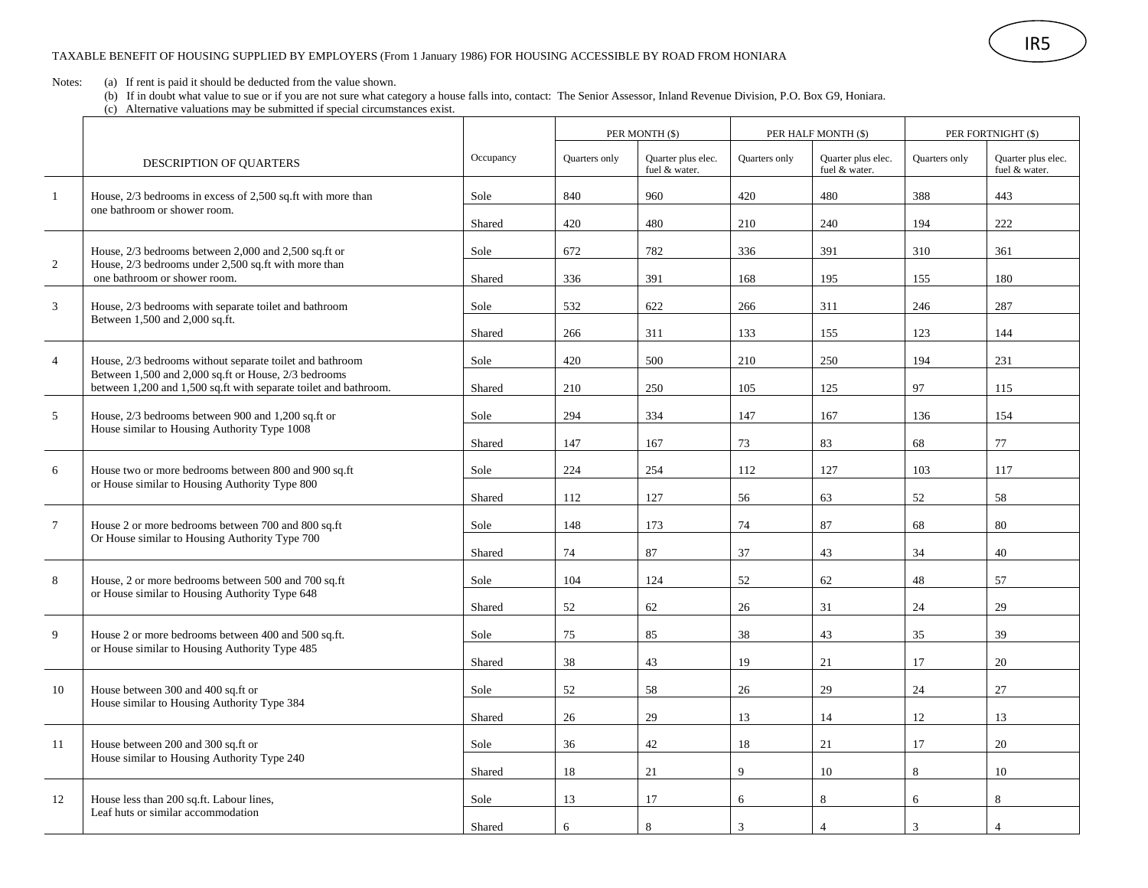Notes: (a) If rent is paid it should be deducted from the value shown.

(b) If in doubt what value to sue or if you are not sure what category a house falls into, contact: The Senior Assessor, Inland Revenue Division, P.O. Box G9, Honiara.

(c) Alternative valuations may be submitted if special circumstances exist.

|                |                                                                                                                                                                                      |           | PER MONTH (\$) |                                     | PER HALF MONTH (\$) |                                     | PER FORTNIGHT (\$) |                                     |
|----------------|--------------------------------------------------------------------------------------------------------------------------------------------------------------------------------------|-----------|----------------|-------------------------------------|---------------------|-------------------------------------|--------------------|-------------------------------------|
|                | DESCRIPTION OF QUARTERS                                                                                                                                                              | Occupancy | Quarters only  | Quarter plus elec.<br>fuel & water. | Quarters only       | Quarter plus elec.<br>fuel & water. | Quarters only      | Quarter plus elec.<br>fuel & water. |
| $\mathbf{1}$   | House, 2/3 bedrooms in excess of 2,500 sq.ft with more than                                                                                                                          | Sole      | 840            | 960                                 | 420                 | 480                                 | 388                | 443                                 |
|                | one bathroom or shower room.                                                                                                                                                         | Shared    | 420            | 480                                 | 210                 | 240                                 | 194                | 222                                 |
|                | House, 2/3 bedrooms between 2,000 and 2,500 sq.ft or<br>House, 2/3 bedrooms under 2,500 sq.ft with more than<br>one bathroom or shower room.                                         | Sole      | 672            | 782                                 | 336                 | 391                                 | 310                | 361                                 |
| 2              |                                                                                                                                                                                      | Shared    | 336            | 391                                 | 168                 | 195                                 | 155                | 180                                 |
| 3              | House, 2/3 bedrooms with separate toilet and bathroom<br>Between 1,500 and 2,000 sq.ft.                                                                                              | Sole      | 532            | 622                                 | 266                 | 311                                 | 246                | 287                                 |
|                |                                                                                                                                                                                      | Shared    | 266            | 311                                 | 133                 | 155                                 | 123                | 144                                 |
| $\overline{4}$ | House, 2/3 bedrooms without separate toilet and bathroom<br>Between 1,500 and 2,000 sq.ft or House, 2/3 bedrooms<br>between 1,200 and 1,500 sq.ft with separate toilet and bathroom. | Sole      | 420            | 500                                 | 210                 | 250                                 | 194                | 231                                 |
|                |                                                                                                                                                                                      | Shared    | 210            | 250                                 | 105                 | 125                                 | 97                 | 115                                 |
| 5              | House, 2/3 bedrooms between 900 and 1,200 sq.ft or                                                                                                                                   | Sole      | 294            | 334                                 | 147                 | 167                                 | 136                | 154                                 |
|                | House similar to Housing Authority Type 1008                                                                                                                                         | Shared    | 147            | 167                                 | 73                  | 83                                  | 68                 | 77                                  |
| 6              | House two or more bedrooms between 800 and 900 sq.ft<br>or House similar to Housing Authority Type 800                                                                               | Sole      | 224            | 254                                 | 112                 | 127                                 | 103                | 117                                 |
|                |                                                                                                                                                                                      | Shared    | 112            | 127                                 | 56                  | 63                                  | 52                 | 58                                  |
| $\tau$         | House 2 or more bedrooms between 700 and 800 sq.ft<br>Or House similar to Housing Authority Type 700                                                                                 | Sole      | 148            | 173                                 | 74                  | 87                                  | 68                 | 80                                  |
|                |                                                                                                                                                                                      | Shared    | 74             | 87                                  | 37                  | 43                                  | 34                 | 40                                  |
| 8              | House, 2 or more bedrooms between 500 and 700 sq.ft<br>or House similar to Housing Authority Type 648                                                                                | Sole      | 104            | 124                                 | 52                  | 62                                  | 48                 | 57                                  |
|                |                                                                                                                                                                                      | Shared    | 52             | 62                                  | 26                  | 31                                  | 24                 | 29                                  |
| 9              | House 2 or more bedrooms between 400 and 500 sq.ft.<br>or House similar to Housing Authority Type 485                                                                                | Sole      | 75             | 85                                  | 38                  | 43                                  | 35                 | 39                                  |
|                |                                                                                                                                                                                      | Shared    | 38             | 43                                  | 19                  | 21                                  | 17                 | 20                                  |
|                |                                                                                                                                                                                      |           |                |                                     |                     |                                     |                    |                                     |
| 10             | House between 300 and 400 sq.ft or<br>House similar to Housing Authority Type 384                                                                                                    | Sole      | 52             | 58                                  | 26                  | 29                                  | 24                 | 27                                  |
|                |                                                                                                                                                                                      | Shared    | 26             | 29                                  | 13                  | 14                                  | 12                 | 13                                  |
| 11             | House between 200 and 300 sq.ft or<br>House similar to Housing Authority Type 240                                                                                                    | Sole      | 36             | 42                                  | 18                  | 21                                  | 17                 | 20                                  |
|                |                                                                                                                                                                                      | Shared    | 18             | 21                                  | 9                   | 10                                  | 8                  | 10                                  |
| 12             | House less than 200 sq.ft. Labour lines,<br>Leaf huts or similar accommodation                                                                                                       | Sole      | 13             | 17                                  | 6                   | 8                                   | 6                  | 8                                   |
|                |                                                                                                                                                                                      | Shared    | 6              | 8                                   | 3                   | $\overline{4}$                      | 3                  | $\Delta$                            |